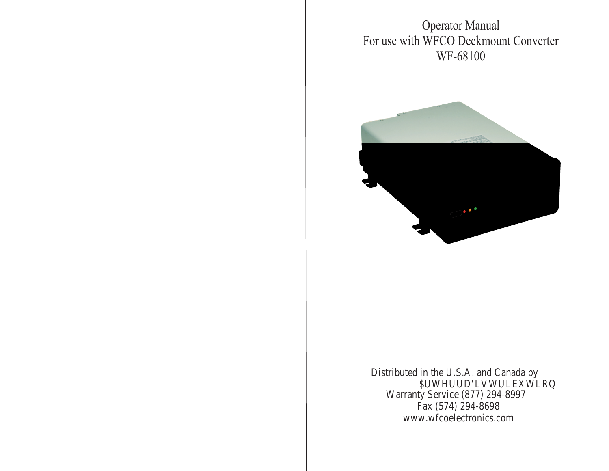Operator Manual For use with WFCO Deckmount Converter WF-68100



Distributed in the U.S.A. and Canada by \$UWHUUD'LVWULEXWLRQ Warranty Service (877) 294-8997 Fax (574) 294-8698 www.wfcoelectronics.com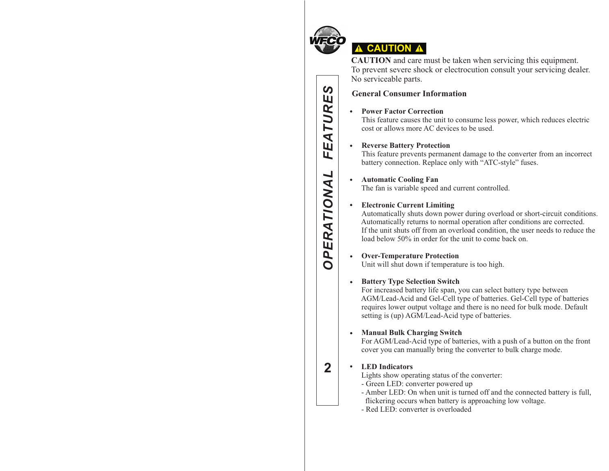

 $\boldsymbol{\omega}$ 

EATURE

L,

**OPERATIONAL** 

 $\overline{2}$ 

# **A CAUTION A**

**CAUTION** and care must be taken when servicing this equipment. To prevent severe shock or electrocution consult your servicing dealer. No serviceable parts.

# **General Consumer Information**

### **Power Factor Correction**

This feature causes the unit to consume less power, which reduces electric cost or allows more AC devices to be used.

### **Reverse Battery Protection**

This feature prevents permanent damage to the converter from an incorrect battery connection. Replace only with "ATC-style" fuses.

### **Automatic Cooling Fan**

The fan is variable speed and current controlled.

### **Electronic Current Limiting**

Automatically shuts down power during overload or short-circuit conditions. Automatically returns to normal operation after conditions are corrected. If the unit shuts off from an overload condition, the user needs to reduce the load below 50% in order for the unit to come back on.

### **Over-Temperature Protection**

Unit will shut down if temperature is too high.

### **• Battery Type Selection Switch**

 For increased battery life span, you can select battery type between AGM/Lead-Acid and Gel-Cell type of batteries. Gel-Cell type of batteries requires lower output voltage and there is no need for bulk mode. Default setting is (up) AGM/Lead-Acid type of batteries.

# **Manual Bulk Charging Switch**

 For AGM/Lead-Acid type of batteries, with a push of a button on the front cover you can manually bring the converter to bulk charge mode.

# **2***OPERATIONAL FEATURES* **LED Indicators**

Lights show operating status of the converter:

- Green LED: converter powered up
- Amber LED: On when unit is turned off and the connected battery is full,
- flickering occurs when battery is approaching low voltage.
- Red LED: converter is overloaded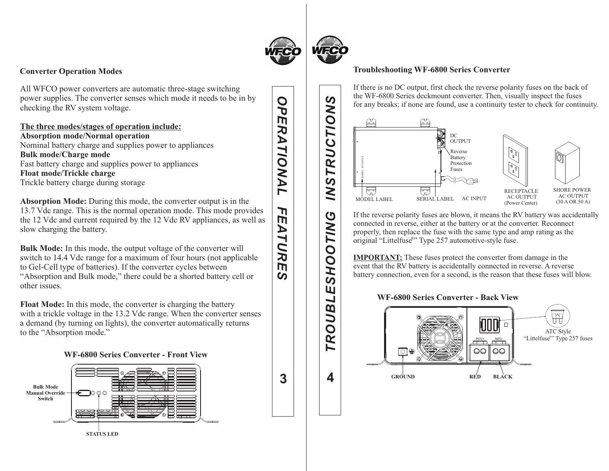

### **Converter Operation Modes**

All WFCO power converters are automatic three-stage switching power supplies. The converter senses which mode it needs to be in by checking the RV system voltage.

**The three modes/stages of operation include: Absorption mode/Normal operation** Nominal battery charge and supplies power to appliances **Bulk mode/Charge mode** Fast battery charge and supplies power to appliances **Float mode/Trickle charge** Trickle battery charge during storage

**Absorption Mode:** During this mode, the converter output is in the 13.7 Vdc range. This is the normal operation mode. This mode provides the 12 Vdc and current required by the 12 Vdc RV appliances, as well as slow charging the battery.

**Bulk Mode:** In this mode, the output voltage of the converter will switch to 14.4 Vdc range for a maximum of four hours (not applicable to Gel-Cell type of batteries). If the converter cycles between "Absorption and Bulk mode," there could be a shorted battery cell or other issues.

**Float Mode:** In this mode, the converter is charging the battery with a trickle voltage in the 13.2 Vdc range. When the converter senses a demand (by turning on lights), the converter automatically returns to the "Absorption mode."

### **WF-6800 Series Converter - Front View**



OP *OPERATIONAL FEATURES* m RATIONAL ח  $\overline{m}$ ATUR  $\overline{m}$  $\overline{a}$ 

**TING** 

Ó

**OHS** 

Щ

TROUBL

4

**3**

# **Troubleshooting WF-6800 Series Converter**

If there is no DC output, first check the reverse polarity fuses on the back of the WF-6800 Series deckmount converter. Then, visually inspect the fuses for any breaks; if none are found, use a continuity tester to check for continuity.



If the reverse polarity fuses are blown, it means the RV battery was accidentally connected in reverse, either at the battery or at the converter. Reconnect properly, then replace the fuse with the same type and amp rating as the original "Littelfuse<sup>®</sup>" Type 257 automotive-style fuse.

. battery connection, even for a second, is the reason that these fuses will blow **IMPORTANT:** These fuses protect the converter from damage in the event that the RV battery is accidentally connected in reverse. A reverse

### **WF-6800 Series Converter - Back View**

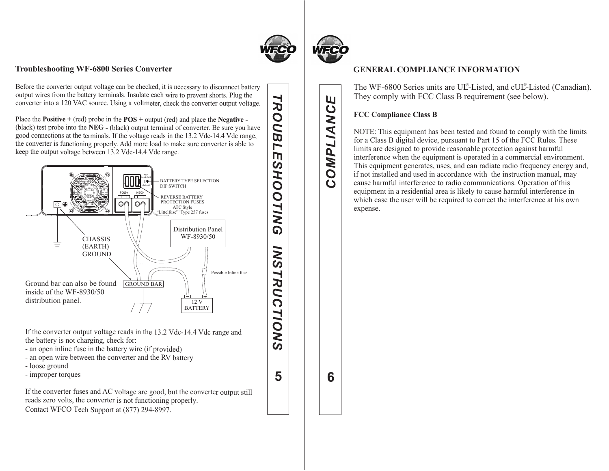

**TROUBL** 

m  $\boldsymbol{\omega}$ 

**5**

*TROUBLESHOOTING INSTRUCTIONS*

**SNI** 

**TRUCTIONS** 

**HOOTING** 

### **Troubleshooting WF-6800 Series Converter**

output wires from the battery terminals. Insulate each wire to prevent shorts. Plug the Before the converter output voltage can be checked, it is necessary to disconnect battery converter into a 120 VAC source. Using a voltmeter, check the converter output voltage.

Place the **Positive +** (red) probe in the **POS +** output (red) and place the **Negative -**  (black) test probe into the **NEG -** (black) output terminal of converter. Be sure you have good connections at the terminals. If the voltage reads in the 13.2 Vdc-14.4 Vdc range, the converter is functioning properly. Add more load to make sure converter is able to keep the output voltage between 13.2 Vdc-14.4 Vdc range.



If the converter output voltage reads in the 13.2 Vdc-14.4 Vdc range and the battery is not charging, check for:

- an open inline fuse in the battery wire (if provided)
- an open wire between the converter and the RV battery
- loose ground
- improper torques

If the converter fuses and AC voltage are good, but the converter output still reads zero volts, the converter is not functioning properly. Contact WFCO Tech Support at (877) 294-8997.



Ш

OMPLIANC

 $\mathbf C$ 

**6***COMPLIANCE*

6

# **GENERAL COMPLIANCE INFORMATION**

The WF-6800 Series units are UL®-Listed, and cUL®-Listed (Canadian). They comply with FCC Class B requirement (see below).

### **FCC Compliance Class B**

NOTE: This equipment has been tested and found to comply with the limits for a Class B digital device, pursuant to Part 15 of the FCC Rules. These limits are designed to provide reasonable protection against harmful interference when the equipment is operated in a commercial environment. This equipment generates, uses, and can radiate radio frequency energy and, if not installed and used in accordance with the instruction manual, may cause harmful interference to radio communications. Operation of this equipment in a residential area is likely to cause harmful interference in which case the user will be required to correct the interference at his own expense.